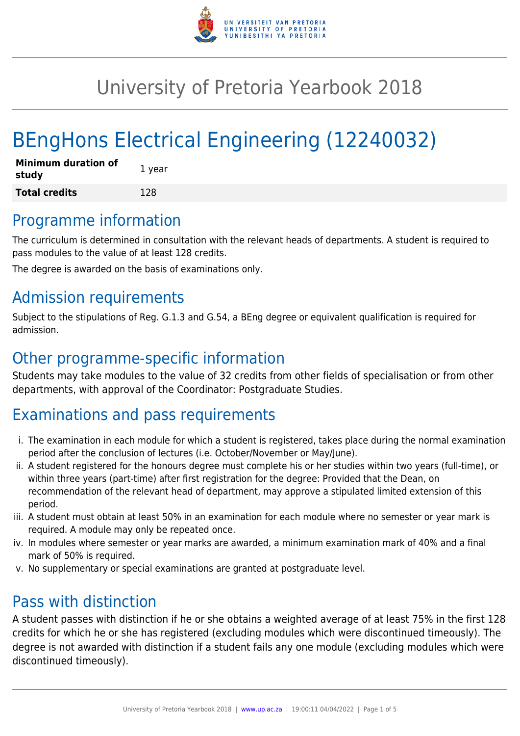

# University of Pretoria Yearbook 2018

# BEngHons Electrical Engineering (12240032)

| <b>Minimum duration of</b><br>study | 1 year |
|-------------------------------------|--------|
| <b>Total credits</b>                | 128    |

# Programme information

The curriculum is determined in consultation with the relevant heads of departments. A student is required to pass modules to the value of at least 128 credits.

The degree is awarded on the basis of examinations only.

# Admission requirements

Subject to the stipulations of Reg. G.1.3 and G.54, a BEng degree or equivalent qualification is required for admission.

# Other programme-specific information

Students may take modules to the value of 32 credits from other fields of specialisation or from other departments, with approval of the Coordinator: Postgraduate Studies.

# Examinations and pass requirements

- i. The examination in each module for which a student is registered, takes place during the normal examination period after the conclusion of lectures (i.e. October/November or May/June).
- ii. A student registered for the honours degree must complete his or her studies within two years (full-time), or within three years (part-time) after first registration for the degree: Provided that the Dean, on recommendation of the relevant head of department, may approve a stipulated limited extension of this period.
- iii. A student must obtain at least 50% in an examination for each module where no semester or year mark is required. A module may only be repeated once.
- iv. In modules where semester or year marks are awarded, a minimum examination mark of 40% and a final mark of 50% is required.
- v. No supplementary or special examinations are granted at postgraduate level.

# Pass with distinction

A student passes with distinction if he or she obtains a weighted average of at least 75% in the first 128 credits for which he or she has registered (excluding modules which were discontinued timeously). The degree is not awarded with distinction if a student fails any one module (excluding modules which were discontinued timeously).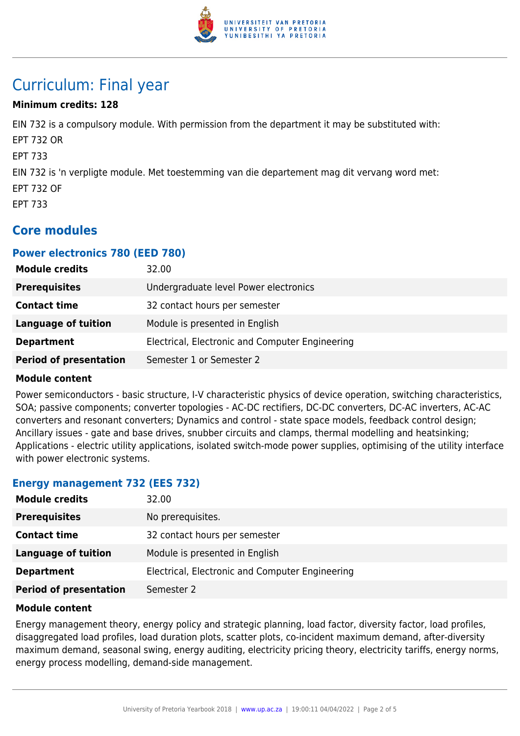

# Curriculum: Final year

# **Minimum credits: 128**

EIN 732 is a compulsory module. With permission from the department it may be substituted with: EPT 732 OR EPT 733 EIN 732 is 'n verpligte module. Met toestemming van die departement mag dit vervang word met: EPT 732 OF EPT 733

# **Core modules**

## **Power electronics 780 (EED 780)**

| <b>Module credits</b>         | 32.00                                           |
|-------------------------------|-------------------------------------------------|
| <b>Prerequisites</b>          | Undergraduate level Power electronics           |
| <b>Contact time</b>           | 32 contact hours per semester                   |
| <b>Language of tuition</b>    | Module is presented in English                  |
| <b>Department</b>             | Electrical, Electronic and Computer Engineering |
| <b>Period of presentation</b> | Semester 1 or Semester 2                        |

### **Module content**

Power semiconductors - basic structure, I-V characteristic physics of device operation, switching characteristics, SOA; passive components; converter topologies - AC-DC rectifiers, DC-DC converters, DC-AC inverters, AC-AC converters and resonant converters; Dynamics and control - state space models, feedback control design; Ancillary issues - gate and base drives, snubber circuits and clamps, thermal modelling and heatsinking; Applications - electric utility applications, isolated switch-mode power supplies, optimising of the utility interface with power electronic systems.

### **Energy management 732 (EES 732)**

| <b>Module credits</b>         | 32.00                                           |
|-------------------------------|-------------------------------------------------|
| <b>Prerequisites</b>          | No prerequisites.                               |
| <b>Contact time</b>           | 32 contact hours per semester                   |
| <b>Language of tuition</b>    | Module is presented in English                  |
| <b>Department</b>             | Electrical, Electronic and Computer Engineering |
| <b>Period of presentation</b> | Semester 2                                      |

### **Module content**

Energy management theory, energy policy and strategic planning, load factor, diversity factor, load profiles, disaggregated load profiles, load duration plots, scatter plots, co-incident maximum demand, after-diversity maximum demand, seasonal swing, energy auditing, electricity pricing theory, electricity tariffs, energy norms, energy process modelling, demand-side management.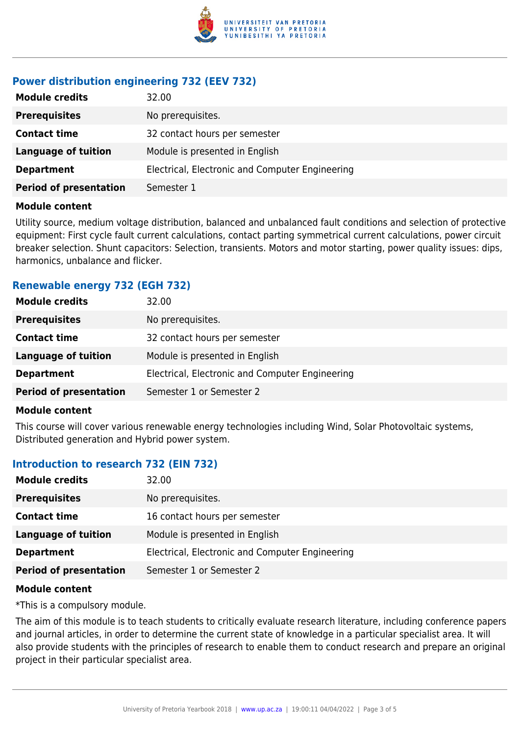

# **Power distribution engineering 732 (EEV 732)**

| <b>Module credits</b>         | 32.00                                           |
|-------------------------------|-------------------------------------------------|
| <b>Prerequisites</b>          | No prerequisites.                               |
| <b>Contact time</b>           | 32 contact hours per semester                   |
| <b>Language of tuition</b>    | Module is presented in English                  |
| <b>Department</b>             | Electrical, Electronic and Computer Engineering |
| <b>Period of presentation</b> | Semester 1                                      |

### **Module content**

Utility source, medium voltage distribution, balanced and unbalanced fault conditions and selection of protective equipment: First cycle fault current calculations, contact parting symmetrical current calculations, power circuit breaker selection. Shunt capacitors: Selection, transients. Motors and motor starting, power quality issues: dips, harmonics, unbalance and flicker.

# **Renewable energy 732 (EGH 732)**

| <b>Module credits</b>         | 32.00                                           |
|-------------------------------|-------------------------------------------------|
| <b>Prerequisites</b>          | No prerequisites.                               |
| <b>Contact time</b>           | 32 contact hours per semester                   |
| Language of tuition           | Module is presented in English                  |
| <b>Department</b>             | Electrical, Electronic and Computer Engineering |
| <b>Period of presentation</b> | Semester 1 or Semester 2                        |
|                               |                                                 |

### **Module content**

This course will cover various renewable energy technologies including Wind, Solar Photovoltaic systems, Distributed generation and Hybrid power system.

# **Introduction to research 732 (EIN 732)**

| <b>Module credits</b>         | 32.00                                           |
|-------------------------------|-------------------------------------------------|
| <b>Prerequisites</b>          | No prerequisites.                               |
| <b>Contact time</b>           | 16 contact hours per semester                   |
| <b>Language of tuition</b>    | Module is presented in English                  |
| <b>Department</b>             | Electrical, Electronic and Computer Engineering |
| <b>Period of presentation</b> | Semester 1 or Semester 2                        |

### **Module content**

\*This is a compulsory module.

The aim of this module is to teach students to critically evaluate research literature, including conference papers and journal articles, in order to determine the current state of knowledge in a particular specialist area. It will also provide students with the principles of research to enable them to conduct research and prepare an original project in their particular specialist area.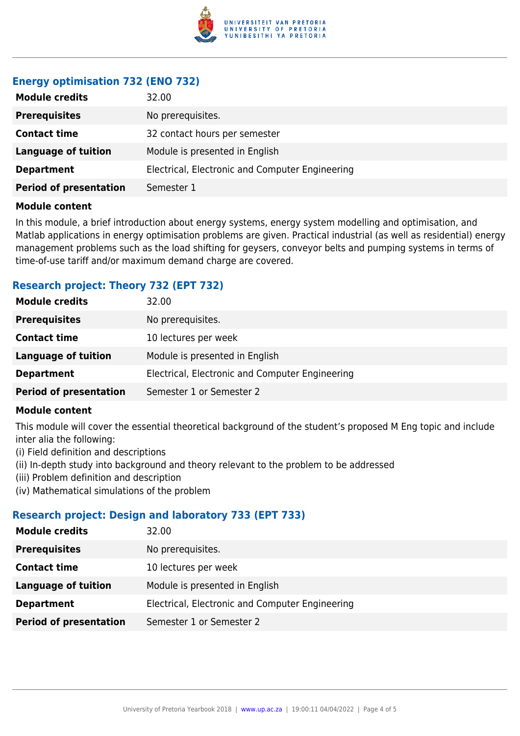

# **Energy optimisation 732 (ENO 732)**

| <b>Module credits</b>         | 32.00                                           |
|-------------------------------|-------------------------------------------------|
| <b>Prerequisites</b>          | No prerequisites.                               |
| <b>Contact time</b>           | 32 contact hours per semester                   |
| <b>Language of tuition</b>    | Module is presented in English                  |
| <b>Department</b>             | Electrical, Electronic and Computer Engineering |
| <b>Period of presentation</b> | Semester 1                                      |

### **Module content**

In this module, a brief introduction about energy systems, energy system modelling and optimisation, and Matlab applications in energy optimisation problems are given. Practical industrial (as well as residential) energy management problems such as the load shifting for geysers, conveyor belts and pumping systems in terms of time-of-use tariff and/or maximum demand charge are covered.

# **Research project: Theory 732 (EPT 732)**

| <b>Module credits</b>         | 32.00                                           |
|-------------------------------|-------------------------------------------------|
| <b>Prerequisites</b>          | No prerequisites.                               |
| <b>Contact time</b>           | 10 lectures per week                            |
| Language of tuition           | Module is presented in English                  |
| <b>Department</b>             | Electrical, Electronic and Computer Engineering |
| <b>Period of presentation</b> | Semester 1 or Semester 2                        |

### **Module content**

This module will cover the essential theoretical background of the student's proposed M Eng topic and include inter alia the following:

- (i) Field definition and descriptions
- (ii) In-depth study into background and theory relevant to the problem to be addressed
- (iii) Problem definition and description
- (iv) Mathematical simulations of the problem

# **Research project: Design and laboratory 733 (EPT 733)**

| <b>Module credits</b>         | 32.00                                           |
|-------------------------------|-------------------------------------------------|
| <b>Prerequisites</b>          | No prerequisites.                               |
| <b>Contact time</b>           | 10 lectures per week                            |
| <b>Language of tuition</b>    | Module is presented in English                  |
| <b>Department</b>             | Electrical, Electronic and Computer Engineering |
| <b>Period of presentation</b> | Semester 1 or Semester 2                        |
|                               |                                                 |